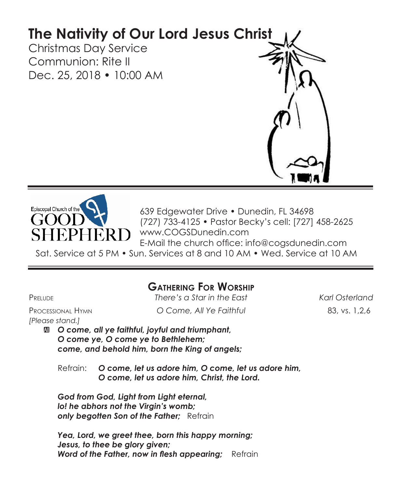



639 Edgewater Drive • Dunedin, FL 34698 (727) 733-4125 • Pastor Becky's cell: [727] 458-2625 www.COGSDunedin.com

E-Mail the church office: info@cogsdunedin.com

Sat. Service at 5 PM • Sun. Services at 8 and 10 AM • Wed. Service at 10 AM

# **Gathering For Worship**

*[Please stand.]*

Prelude *There's a Star in the East Karl Osterland* Processional Hymn *O Come, All Ye Faithful* 83, vs. 1,2,6

- a *O come, all ye faithful, joyful and triumphant, O come ye, O come ye to Bethlehem; come, and behold him, born the King of angels;*
	- Refrain: *O come, let us adore him, O come, let us adore him, O come, let us adore him, Christ, the Lord.*

 *God from God, Light from Light eternal, lo! he abhors not the Virgin's womb;* **only begotten Son of the Father;** Refrain

 *Yea, Lord, we greet thee, born this happy morning; Jesus, to thee be glory given; <i>Word of the Father, now in flesh appearing; Refrain*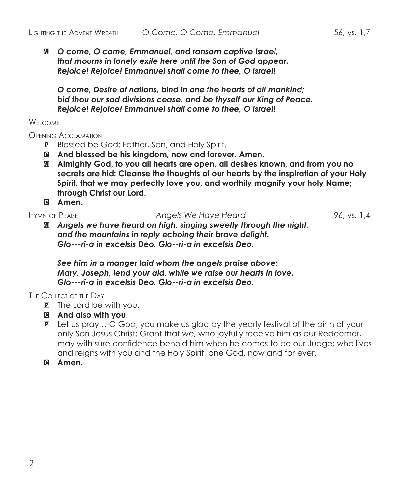a *O come, O come, Emmanuel, and ransom captive Israel, that mourns in lonely exile here until the Son of God appear. Rejoice! Rejoice! Emmanuel shall come to thee, O Israel!*

 *O come, Desire of nations, bind in one the hearts of all mankind; bid thou our sad divisions cease, and be thyself our King of Peace. Rejoice! Rejoice! Emmanuel shall come to thee, O Israel!*

**WELCOME** 

Opening Acclamation

- P Blessed be God: Father, Son, and Holy Spirit.
- C **And blessed be his kingdom, now and forever. Amen.**
- a **Almighty God, to you all hearts are open, all desires known, and from you no secrets are hid: Cleanse the thoughts of our hearts by the inspiration of your Holy Spirit, that we may perfectly love you, and worthily magnify your holy Name; through Christ our Lord.**
- C **Amen.**

Hymn of Praise *Angels We Have Heard* 96, vs. 1,4

a *Angels we have heard on high, singing sweetly through the night, and the mountains in reply echoing their brave delight. Glo---ri-a in excelsis Deo. Glo--ri-a in excelsis Deo.*

 *See him in a manger laid whom the angels praise above; Mary, Joseph, lend your aid, while we raise our hearts in love. Glo---ri-a in excelsis Deo. Glo--ri-a in excelsis Deo.*

#### THE COLLECT OF THE DAY

- P The Lord be with you.
- C **And also with you.**
- P Let us pray… O God, you make us glad by the yearly festival of the birth of your only Son Jesus Christ: Grant that we, who joyfully receive him as our Redeemer, may with sure confidence behold him when he comes to be our Judge; who lives and reigns with you and the Holy Spirit, one God, now and for ever.
- C **Amen.**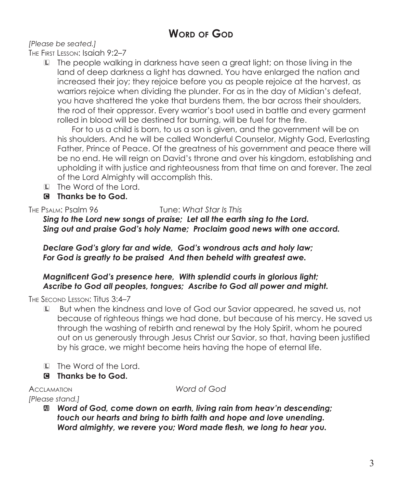# **Word of God**

*[Please be seated.]*

The First Lesson: Isaiah 9:2–7

L The people walking in darkness have seen a great light; on those living in the land of deep darkness a light has dawned. You have enlarged the nation and increased their joy; they rejoice before you as people rejoice at the harvest, as warriors rejoice when dividing the plunder. For as in the day of Midian's defeat, you have shattered the yoke that burdens them, the bar across their shoulders, the rod of their oppressor. Every warrior's boot used in battle and every garment rolled in blood will be destined for burning, will be fuel for the fire.

 For to us a child is born, to us a son is given, and the government will be on his shoulders. And he will be called Wonderful Counselor, Mighty God, Everlasting Father, Prince of Peace. Of the greatness of his government and peace there will be no end. He will reign on David's throne and over his kingdom, establishing and upholding it with justice and righteousness from that time on and forever. The zeal of the Lord Almighty will accomplish this.

- L The Word of the Lord.
- C **Thanks be to God.**

#### The Psalm: Psalm 96 Tune: *What Star Is This*

*Sing to the Lord new songs of praise; Let all the earth sing to the Lord. Sing out and praise God's holy Name; Proclaim good news with one accord.*

*Declare God's glory far and wide, God's wondrous acts and holy law; For God is greatly to be praised And then beheld with greatest awe.*

#### *Magnificent God's presence here, With splendid courts in glorious light; Ascribe to God all peoples, tongues; Ascribe to God all power and might.*

The Second Lesson: Titus 3:4–7

- L But when the kindness and love of God our Savior appeared, he saved us, not because of righteous things we had done, but because of his mercy. He saved us through the washing of rebirth and renewal by the Holy Spirit, whom he poured out on us generously through Jesus Christ our Savior, so that, having been justified by his grace, we might become heirs having the hope of eternal life.
- L The Word of the Lord.
- C **Thanks be to God.**

Acclamation *Word of God*

*[Please stand.]*

 $\blacksquare$  Word of God, come down on earth, living rain from heav'n descending;  *touch our hearts and bring to birth faith and hope and love unending. Word almighty, we revere you; Word made flesh, we long to hear you.*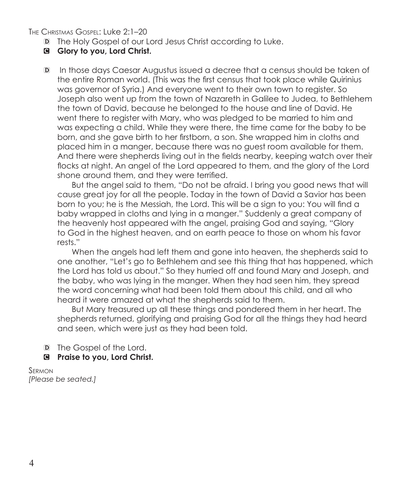The Christmas Gospel: Luke 2:1–20

- D The Holy Gospel of our Lord Jesus Christ according to Luke.
- C **Glory to you, Lord Christ.**
- D In those days Caesar Augustus issued a decree that a census should be taken of the entire Roman world. (This was the first census that took place while Quirinius was governor of Syria.) And everyone went to their own town to register. So Joseph also went up from the town of Nazareth in Galilee to Judea, to Bethlehem the town of David, because he belonged to the house and line of David. He went there to register with Mary, who was pledged to be married to him and was expecting a child. While they were there, the time came for the baby to be born, and she gave birth to her firstborn, a son. She wrapped him in cloths and placed him in a manger, because there was no guest room available for them. And there were shepherds living out in the fields nearby, keeping watch over their flocks at night. An angel of the Lord appeared to them, and the glory of the Lord shone around them, and they were terrified.

 But the angel said to them, "Do not be afraid. I bring you good news that will cause great joy for all the people. Today in the town of David a Savior has been born to you; he is the Messiah, the Lord. This will be a sign to you: You will find a baby wrapped in cloths and lying in a manger." Suddenly a great company of the heavenly host appeared with the angel, praising God and saying, "Glory to God in the highest heaven, and on earth peace to those on whom his favor rests."

 When the angels had left them and gone into heaven, the shepherds said to one another, "Let's go to Bethlehem and see this thing that has happened, which the Lord has told us about." So they hurried off and found Mary and Joseph, and the baby, who was lying in the manger. When they had seen him, they spread the word concerning what had been told them about this child, and all who heard it were amazed at what the shepherds said to them.

 But Mary treasured up all these things and pondered them in her heart. The shepherds returned, glorifying and praising God for all the things they had heard and seen, which were just as they had been told.

D The Gospel of the Lord.

C **Praise to you, Lord Christ.**

**SERMON** *[Please be seated.]*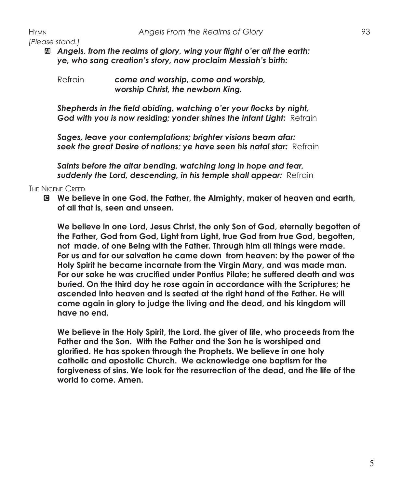*[Please stand.]*

a *Angels, from the realms of glory, wing your flight o'er all the earth; ye, who sang creation's story, now proclaim Messiah's birth:*

 Refrain *come and worship, come and worship, worship Christ, the newborn King.*

 *Shepherds in the field abiding, watching o'er your flocks by night,* God with you is now residing; yonder shines the infant Light: Refrain

 *Sages, leave your contemplations; brighter visions beam afar:* seek the great Desire of nations; ye have seen his natal star: Refrain

 *Saints before the altar bending, watching long in hope and fear, suddenly the Lord, descending, in his temple shall appear:* Refrain

THE NICENE CREED

C **We believe in one God, the Father, the Almighty, maker of heaven and earth, of all that is, seen and unseen.**

 **We believe in one Lord, Jesus Christ, the only Son of God, eternally begotten of the Father, God from God, Light from Light, true God from true God, begotten, not made, of one Being with the Father. Through him all things were made. For us and for our salvation he came down from heaven: by the power of the Holy Spirit he became incarnate from the Virgin Mary, and was made man. For our sake he was crucified under Pontius Pilate; he suffered death and was buried. On the third day he rose again in accordance with the Scriptures; he ascended into heaven and is seated at the right hand of the Father. He will come again in glory to judge the living and the dead, and his kingdom will have no end.**

 **We believe in the Holy Spirit, the Lord, the giver of life, who proceeds from the Father and the Son. With the Father and the Son he is worshiped and glorified. He has spoken through the Prophets. We believe in one holy catholic and apostolic Church. We acknowledge one baptism for the forgiveness of sins. We look for the resurrection of the dead, and the life of the world to come. Amen.**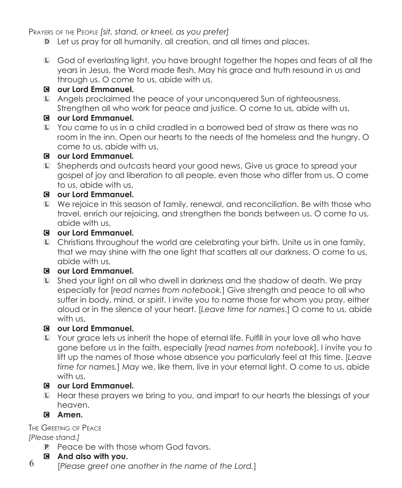Prayers of the People *[sit, stand, or kneel, as you prefer]*

- D Let us pray for all humanity, all creation, and all times and places.
- L God of everlasting light, you have brought together the hopes and fears of all the years in Jesus, the Word made flesh. May his grace and truth resound in us and through us. O come to us, abide with us,

#### C **our Lord Emmanuel.**

L Angels proclaimed the peace of your unconquered Sun of righteousness. Strengthen all who work for peace and justice. O come to us, abide with us,

### C **our Lord Emmanuel.**

L You came to us in a child cradled in a borrowed bed of straw as there was no room in the inn. Open our hearts to the needs of the homeless and the hungry. O come to us, abide with us,

#### C **our Lord Emmanuel.**

L Shepherds and outcasts heard your good news. Give us grace to spread your gospel of joy and liberation to all people, even those who differ from us. O come to us, abide with us,

#### C **our Lord Emmanuel.**

L We rejoice in this season of family, renewal, and reconciliation. Be with those who travel, enrich our rejoicing, and strengthen the bonds between us. O come to us, abide with us,

#### C **our Lord Emmanuel.**

L Christians throughout the world are celebrating your birth. Unite us in one family, that we may shine with the one light that scatters all our darkness. O come to us, abide with us,

#### C **our Lord Emmanuel.**

L Shed your light on all who dwell in darkness and the shadow of death. We pray especially for [*read names from notebook.*] Give strength and peace to all who suffer in body, mind, or spirit. I invite you to name those for whom you pray, either aloud or in the silence of your heart. [*Leave time for names*.] O come to us, abide with us,

### C **our Lord Emmanuel.**

L Your grace lets us inherit the hope of eternal life. Fulfill in your love all who have gone before us in the faith, especially [*read names from notebook*]. I invite you to lift up the names of those whose absence you particularly feel at this time. [*Leave time for names.*] May we, like them, live in your eternal light. O come to us, abide with us,

### C **our Lord Emmanuel.**

L Hear these prayers we bring to you, and impart to our hearts the blessings of your heaven.

### C **Amen.**

THE GREETING OF PEACE *[Please stand.]*

P Peace be with those whom God favors.

### C **And also with you.**

6 [*Please greet one another in the name of the Lord.*]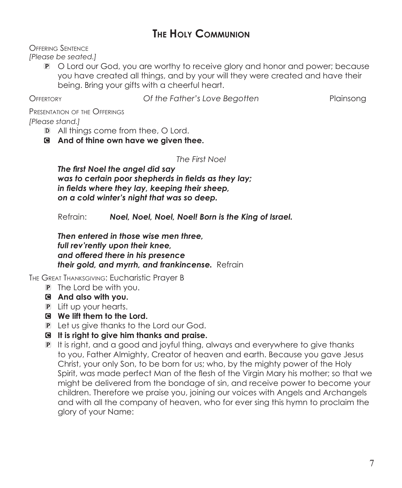# **The Holy Communion**

Offering Sentence *[Please be seated.]*

> P O Lord our God, you are worthy to receive glory and honor and power; because you have created all things, and by your will they were created and have their being. Bring your gifts with a cheerful heart.

Offertory *Of the Father's Love Begotten* Plainsong

PRESENTATION OF THE OFFERINGS *[Please stand.]*

- D All things come from thee, O Lord.
- C **And of thine own have we given thee.**

*The First Noel*

 *The first Noel the angel did say was to certain poor shepherds in fields as they lay; in fields where they lay, keeping their sheep, on a cold winter's night that was so deep.*

Refrain: *Noel, Noel, Noel, Noel! Born is the King of Israel.*

 *Then entered in those wise men three, full rev'rently upon their knee, and offered there in his presence their gold, and myrrh, and frankincense.* Refrain

The Great Thanksgiving: Eucharistic Prayer B

- P The Lord be with you.
- C **And also with you.**
- P Lift up your hearts.
- C **We lift them to the Lord.**
- P Let us give thanks to the Lord our God.
- C **It is right to give him thanks and praise.**
- P It is right, and a good and joyful thing, always and everywhere to give thanks to you, Father Almighty, Creator of heaven and earth. Because you gave Jesus Christ, your only Son, to be born for us; who, by the mighty power of the Holy Spirit, was made perfect Man of the flesh of the Virgin Mary his mother; so that we might be delivered from the bondage of sin, and receive power to become your children. Therefore we praise you, joining our voices with Angels and Archangels and with all the company of heaven, who for ever sing this hymn to proclaim the glory of your Name: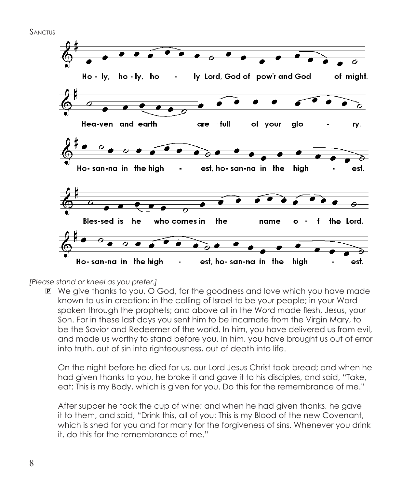**SANCTUS** 



*[Please stand or kneel as you prefer.]*

P We give thanks to you, O God, for the goodness and love which you have made known to us in creation; in the calling of Israel to be your people; in your Word spoken through the prophets; and above all in the Word made flesh, Jesus, your Son. For in these last days you sent him to be incarnate from the Virgin Mary, to be the Savior and Redeemer of the world. In him, you have delivered us from evil, and made us worthy to stand before you. In him, you have brought us out of error into truth, out of sin into righteousness, out of death into life.

 On the night before he died for us, our Lord Jesus Christ took bread; and when he had given thanks to you, he broke it and gave it to his disciples, and said, "Take, eat: This is my Body, which is given for you. Do this for the remembrance of me."

 After supper he took the cup of wine; and when he had given thanks, he gave it to them, and said, "Drink this, all of you: This is my Blood of the new Covenant, which is shed for you and for many for the forgiveness of sins. Whenever you drink it, do this for the remembrance of me."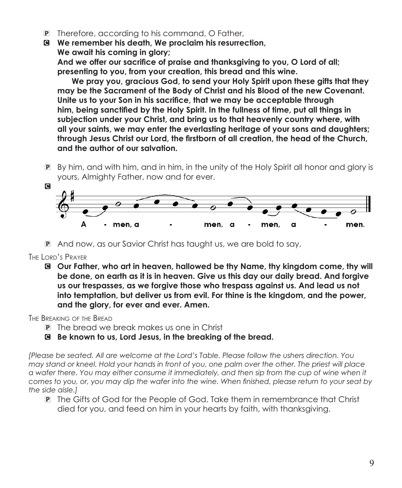- P Therefore, according to his command, O Father,
- C **We remember his death, We proclaim his resurrection, We await his coming in glory;**

 **And we offer our sacrifice of praise and thanksgiving to you, O Lord of all; presenting to you, from your creation, this bread and this wine.** 

 **We pray you, gracious God, to send your Holy Spirit upon these gifts that they may be the Sacrament of the Body of Christ and his Blood of the new Covenant. Unite us to your Son in his sacrifice, that we may be acceptable through him, being sanctified by the Holy Spirit. In the fullness of time, put all things in subjection under your Christ, and bring us to that heavenly country where, with all your saints, we may enter the everlasting heritage of your sons and daughters; through Jesus Christ our Lord, the firstborn of all creation, the head of the Church, and the author of our salvation.**

P By him, and with him, and in him, in the unity of the Holy Spirit all honor and glory is yours, Almighty Father, now and for ever.



P And now, as our Savior Christ has taught us, we are bold to say,

The Lord's Prayer

C **Our Father, who art in heaven, hallowed be thy Name, thy kingdom come, thy will be done, on earth as it is in heaven. Give us this day our daily bread. And forgive us our trespasses, as we forgive those who trespass against us. And lead us not into temptation, but deliver us from evil. For thine is the kingdom, and the power, and the glory, for ever and ever. Amen.**

The Breaking of the Bread

- P The bread we break makes us one in Christ
- C **Be known to us, Lord Jesus, in the breaking of the bread.**

*[Please be seated. All are welcome at the Lord's Table. Please follow the ushers direction. You may stand or kneel. Hold your hands in front of you, one palm over the other. The priest will place a wafer there. You may either consume it immediately, and then sip from the cup of wine when it comes to you, or, you may dip the wafer into the wine. When finished, please return to your seat by the side aisle.]*

P The Gifts of God for the People of God. Take them in remembrance that Christ died for you, and feed on him in your hearts by faith, with thanksgiving.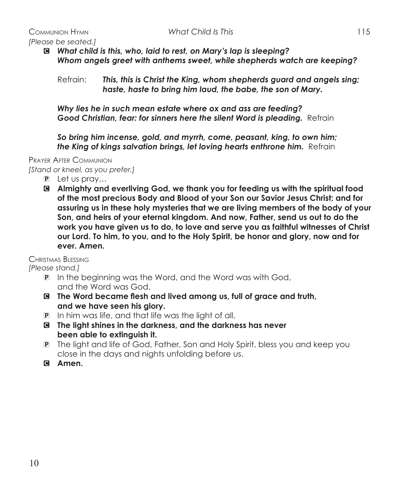Communion Hymn *What Child Is This* 115 *[Please be seated.]*

C *What child is this, who, laid to rest, on Mary's lap is sleeping? Whom angels greet with anthems sweet, while shepherds watch are keeping?*

Refrain: *This, this is Christ the King, whom shepherds guard and angels sing; haste, haste to bring him laud, the babe, the son of Mary.*

 *Why lies he in such mean estate where ox and ass are feeding? Good Christian, fear: for sinners here the silent Word is pleading. Refrain* 

 *So bring him incense, gold, and myrrh, come, peasant, king, to own him; the King of kings salvation brings, let loving hearts enthrone him.* Refrain

#### Prayer After Communion

*[Stand or kneel, as you prefer.]*

- P Let us pray…
- C **Almighty and everliving God, we thank you for feeding us with the spiritual food of the most precious Body and Blood of your Son our Savior Jesus Christ; and for assuring us in these holy mysteries that we are living members of the body of your Son, and heirs of your eternal kingdom. And now, Father, send us out to do the work you have given us to do, to love and serve you as faithful witnesses of Christ our Lord. To him, to you, and to the Holy Spirit, be honor and glory, now and for ever. Amen.**

CHRISTMAS BLESSING

*[Please stand.]*

- P In the beginning was the Word, and the Word was with God, and the Word was God.
- C **The Word became flesh and lived among us, full of grace and truth, and we have seen his glory.**
- P In him was life, and that life was the light of all.
- C **The light shines in the darkness, and the darkness has never been able to extinguish it.**
- P The light and life of God, Father, Son and Holy Spirit, bless you and keep you close in the days and nights unfolding before us.
- C **Amen.**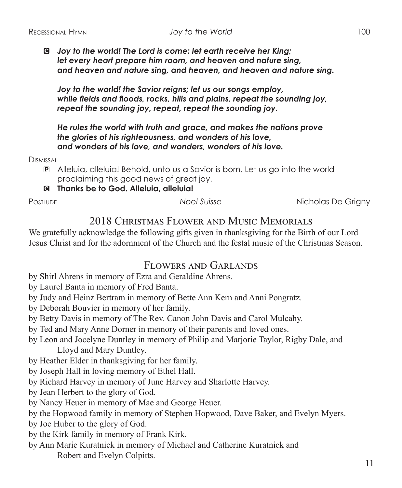C *Joy to the world! The Lord is come: let earth receive her King; let every heart prepare him room, and heaven and nature sing, and heaven and nature sing, and heaven, and heaven and nature sing.*

 *Joy to the world! the Savior reigns; let us our songs employ, while fields and floods, rocks, hills and plains, repeat the sounding joy, repeat the sounding joy, repeat, repeat the sounding joy.*

#### *He rules the world with truth and grace, and makes the nations prove the glories of his righteousness, and wonders of his love, and wonders of his love, and wonders, wonders of his love.*

Dismissal

- P Alleluia, alleluia! Behold, unto us a Savior is born. Let us go into the world proclaiming this good news of great joy.
- C **Thanks be to God. Alleluia, alleluia!**

Postlude *Noel Suisse* Nicholas De Grigny

## 2018 Christmas Flower and Music Memorials

We gratefully acknowledge the following gifts given in thanksgiving for the Birth of our Lord Jesus Christ and for the adornment of the Church and the festal music of the Christmas Season.

## Flowers and Garlands

- by Shirl Ahrens in memory of Ezra and Geraldine Ahrens.
- by Laurel Banta in memory of Fred Banta.
- by Judy and Heinz Bertram in memory of Bette Ann Kern and Anni Pongratz.
- by Deborah Bouvier in memory of her family.
- by Betty Davis in memory of The Rev. Canon John Davis and Carol Mulcahy.
- by Ted and Mary Anne Dorner in memory of their parents and loved ones.
- by Leon and Jocelyne Duntley in memory of Philip and Marjorie Taylor, Rigby Dale, and Lloyd and Mary Duntley.
- by Heather Elder in thanksgiving for her family.
- by Joseph Hall in loving memory of Ethel Hall.
- by Richard Harvey in memory of June Harvey and Sharlotte Harvey.
- by Jean Herbert to the glory of God.
- by Nancy Heuer in memory of Mae and George Heuer.
- by the Hopwood family in memory of Stephen Hopwood, Dave Baker, and Evelyn Myers.
- by Joe Huber to the glory of God.
- by the Kirk family in memory of Frank Kirk.
- by Ann Marie Kuratnick in memory of Michael and Catherine Kuratnick and Robert and Evelyn Colpitts.